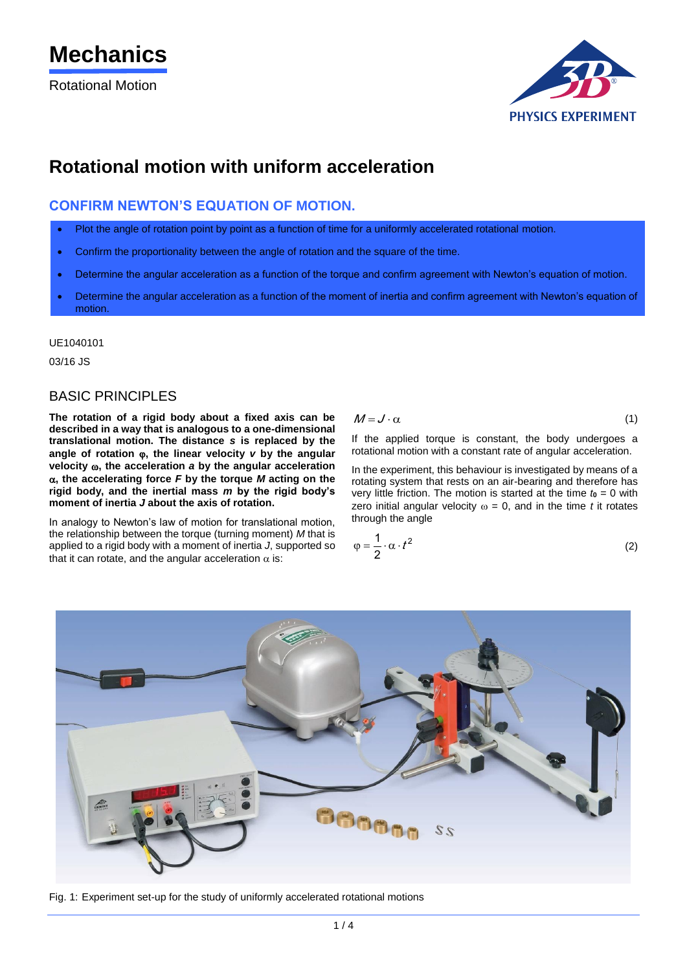Rotational Motion



# **Rotational motion with uniform acceleration**

# **CONFIRM NEWTON'S EQUATION OF MOTION.**

- Plot the angle of rotation point by point as a function of time for a uniformly accelerated rotational motion.
- Confirm the proportionality between the angle of rotation and the square of the time.
- Determine the angular acceleration as a function of the torque and confirm agreement with Newton's equation of motion.
- Determine the angular acceleration as a function of the moment of inertia and confirm agreement with Newton's equation of motion.

UE1040101

03/16 JS

### BASIC PRINCIPLES

**The rotation of a rigid body about a fixed axis can be described in a way that is analogous to a one-dimensional translational motion. The distance** *s* **is replaced by the angle of rotation , the linear velocity** *v* **by the angular velocity , the acceleration** *a* **by the angular acceleration**   $\alpha$ , the accelerating force  $F$  by the torque  $M$  acting on the **rigid body, and the inertial mass** *m* **by the rigid body's moment of inertia** *J* **about the axis of rotation.**

In analogy to Newton's law of motion for translational motion, the relationship between the torque (turning moment) *M* that is applied to a rigid body with a moment of inertia *J*, supported so that it can rotate, and the angular acceleration  $\alpha$  is:

$$
M = J \cdot \alpha \tag{1}
$$

If the applied torque is constant, the body undergoes a rotational motion with a constant rate of angular acceleration.

In the experiment, this behaviour is investigated by means of a rotating system that rests on an air-bearing and therefore has very little friction. The motion is started at the time  $t_0 = 0$  with zero initial angular velocity  $\omega = 0$ , and in the time *t* it rotates through the angle

$$
\varphi = \frac{1}{2} \cdot \alpha \cdot t^2 \tag{2}
$$



Fig. 1: Experiment set-up for the study of uniformly accelerated rotational motions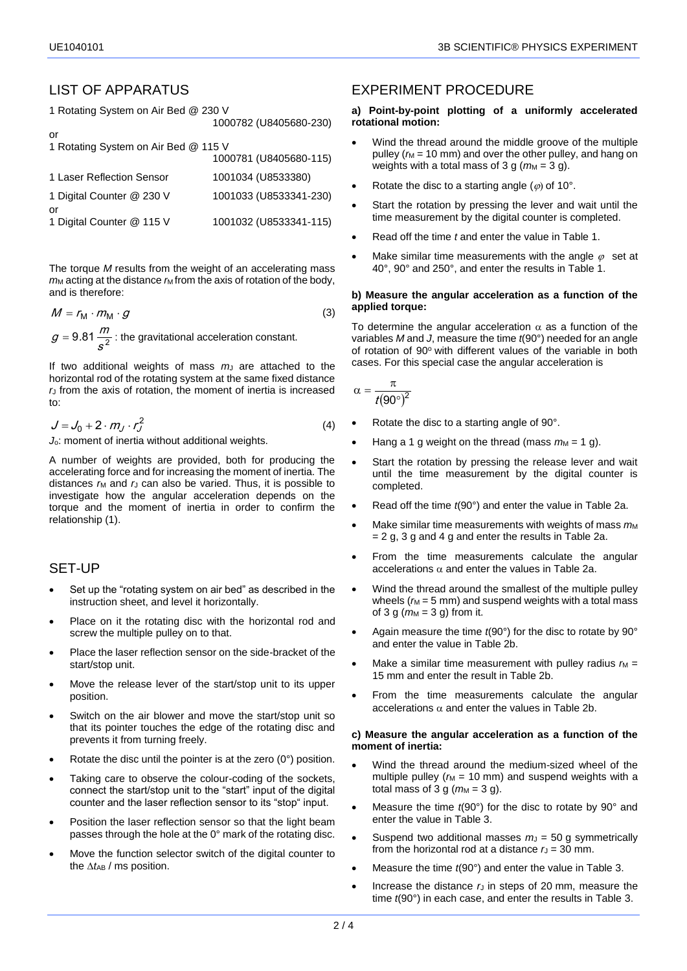# LIST OF APPARATUS

1 Rotating System on Air Bed @ 230 V

| or<br>1 Rotating System on Air Bed @ 115 V |                        |
|--------------------------------------------|------------------------|
|                                            | 1000781 (U8405680-115) |
| 1 Laser Reflection Sensor                  | 1001034 (U8533380)     |
| 1 Digital Counter @ 230 V                  | 1001033 (U8533341-230) |
| or<br>1 Digital Counter @ 115 V            | 1001032 (U8533341-115) |

1000782 (U8405680-230)

The torque *M* results from the weight of an accelerating mass  $m<sub>M</sub>$  acting at the distance  $m<sub>M</sub>$  from the axis of rotation of the body, and is therefore:

$$
M = r_{\rm M} \cdot m_{\rm M} \cdot g \tag{3}
$$

9.81 $\frac{17}{s^2}$  $g = 9.81 \frac{m}{2}$ : the gravitational acceleration constant.

If two additional weights of mass  $m<sub>J</sub>$  are attached to the horizontal rod of the rotating system at the same fixed distance *r*<sup>J</sup> from the axis of rotation, the moment of inertia is increased to:

$$
J = J_0 + 2 \cdot m_J \cdot r_J^2 \tag{4}
$$

*J*o: moment of inertia without additional weights.

A number of weights are provided, both for producing the accelerating force and for increasing the moment of inertia. The distances  $r_M$  and  $r_J$  can also be varied. Thus, it is possible to investigate how the angular acceleration depends on the torque and the moment of inertia in order to confirm the relationship (1).

# SET-UP

- Set up the "rotating system on air bed" as described in the instruction sheet, and level it horizontally.
- Place on it the rotating disc with the horizontal rod and screw the multiple pulley on to that.
- Place the laser reflection sensor on the side-bracket of the start/stop unit.
- Move the release lever of the start/stop unit to its upper position.
- Switch on the air blower and move the start/stop unit so that its pointer touches the edge of the rotating disc and prevents it from turning freely.
- Rotate the disc until the pointer is at the zero  $(0^{\circ})$  position.
- Taking care to observe the colour-coding of the sockets, connect the start/stop unit to the "start" input of the digital counter and the laser reflection sensor to its "stop" input.
- Position the laser reflection sensor so that the light beam passes through the hole at the 0° mark of the rotating disc.
- Move the function selector switch of the digital counter to the  $\Delta t_{AB}$  / ms position.

## EXPERIMENT PROCEDURE

#### **a) Point-by-point plotting of a uniformly accelerated rotational motion:**

- Wind the thread around the middle groove of the multiple pulley ( $r_M$  = 10 mm) and over the other pulley, and hang on weights with a total mass of 3 g  $(m_M = 3$  g).
- Rotate the disc to a starting angle  $(\varphi)$  of 10°.
- Start the rotation by pressing the lever and wait until the time measurement by the digital counter is completed.
- Read off the time *t* and enter the value in Table 1.
- Make similar time measurements with the angle  $\varphi$  set at 40°, 90° and 250°, and enter the results in Table 1.

#### **b) Measure the angular acceleration as a function of the applied torque:**

To determine the angular acceleration  $\alpha$  as a function of the variables *M* and *J*, measure the time *t*(90°) needed for an angle of rotation of 90° with different values of the variable in both cases. For this special case the angular acceleration is

$$
\alpha = \frac{\pi}{t(90^\circ)^2}
$$

- Rotate the disc to a starting angle of 90°.
- Hang a 1 g weight on the thread (mass  $m_M = 1$  g).
- Start the rotation by pressing the release lever and wait until the time measurement by the digital counter is completed.
- Read off the time *t*(90°) and enter the value in Table 2a.
- Make similar time measurements with weights of mass  $m_M$  $= 2$  g, 3 g and 4 g and enter the results in Table 2a.
- From the time measurements calculate the angular accelerations  $\alpha$  and enter the values in Table 2a.
- Wind the thread around the smallest of the multiple pulley wheels  $(m = 5$  mm) and suspend weights with a total mass of 3 g  $(m_M = 3$  g) from it.
- Again measure the time *t*(90°) for the disc to rotate by 90° and enter the value in Table 2b.
- Make a similar time measurement with pulley radius  $r_M =$ 15 mm and enter the result in Table 2b.
- From the time measurements calculate the angular accelerations  $\alpha$  and enter the values in Table 2b.

#### **c) Measure the angular acceleration as a function of the moment of inertia:**

- Wind the thread around the medium-sized wheel of the multiple pulley ( $r_M$  = 10 mm) and suspend weights with a total mass of 3 g  $(m_M = 3$  g).
- Measure the time *t*(90°) for the disc to rotate by 90° and enter the value in Table 3.
- Suspend two additional masses  $m<sub>J</sub> = 50$  g symmetrically from the horizontal rod at a distance  $r<sub>J</sub> = 30$  mm.
- Measure the time *t*(90°) and enter the value in Table 3.
- Increase the distance  $r_J$  in steps of 20 mm, measure the time *t*(90°) in each case, and enter the results in Table 3.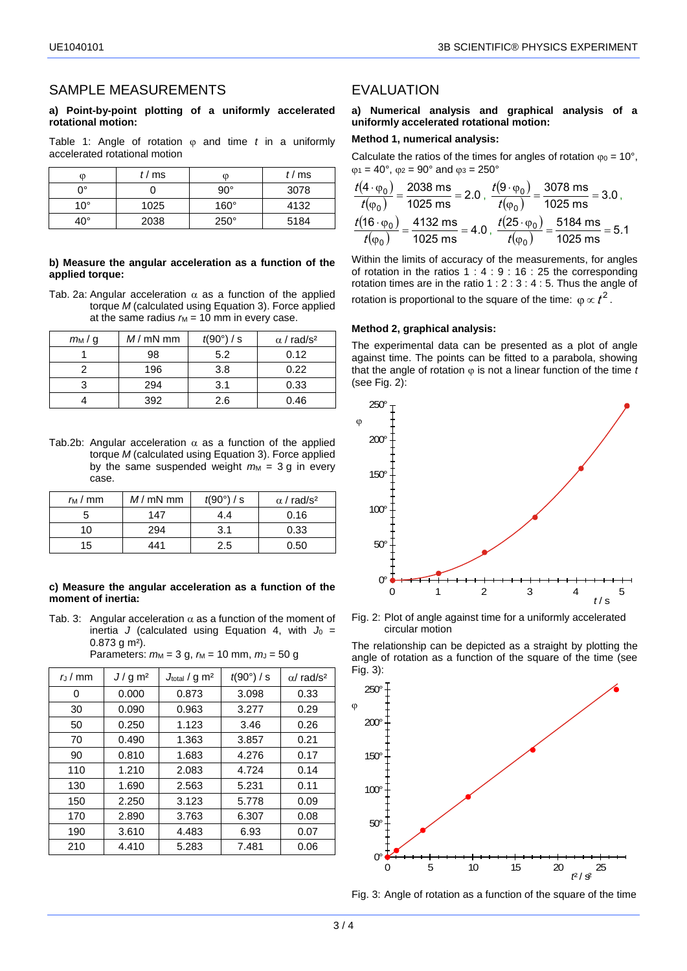### SAMPLE MEASUREMENTS

#### **a) Point-by-point plotting of a uniformly accelerated rotational motion:**

Table 1: Angle of rotation  $\varphi$  and time *t* in a uniformly accelerated rotational motion

| O            | t/ms | O           | t/ms |
|--------------|------|-------------|------|
| ŋ۰           |      | $90^\circ$  | 3078 |
| $10^{\circ}$ | 1025 | $160^\circ$ | 4132 |
| 40°          | 2038 | $250^\circ$ | 5184 |

#### **b) Measure the angular acceleration as a function of the applied torque:**

Tab. 2a: Angular acceleration  $\alpha$  as a function of the applied torque *M* (calculated using Equation 3). Force applied at the same radius  $r_M = 10$  mm in every case.

| $m_M/g$ | $M/mN$ mm | $t(90^\circ)$ / s | $\alpha$ / rad/s <sup>2</sup> |
|---------|-----------|-------------------|-------------------------------|
|         | 98        | 5.2               | 0.12                          |
|         | 196       | 3.8               | 0.22                          |
|         | 294       | 3.1               | 0.33                          |
|         | 392       | 2 6               | 0.46                          |

Tab.2b: Angular acceleration  $\alpha$  as a function of the applied torque *M* (calculated using Equation 3). Force applied by the same suspended weight  $m_M = 3$  g in every case.

| m/mm | $M/mN$ mm | $t(90^\circ)$ / s | $\alpha$ / rad/s <sup>2</sup> |
|------|-----------|-------------------|-------------------------------|
|      | 147       | 4.4               | 0.16                          |
| 10   | 294       | 3.1               | 0.33                          |
| 15   | 441       | 2.5               | 0.50                          |

#### **c) Measure the angular acceleration as a function of the moment of inertia:**

Tab. 3: Angular acceleration  $\alpha$  as a function of the moment of inertia *J* (calculated using Equation 4, with  $J_0$  = 0.873 g m²).

Parameters: 
$$
m_M = 3
$$
 g,  $r_M = 10$  mm,  $m_J = 50$  g

| $r_1/mm$ | $J/g \, \text{m}^2$ | $J_{\text{total}}$ / g m <sup>2</sup> | $t(90^\circ)$ / s | $\alpha$ rad/s <sup>2</sup> |
|----------|---------------------|---------------------------------------|-------------------|-----------------------------|
| 0        | 0.000               | 0.873                                 | 3.098             | 0.33                        |
| 30       | 0.090               | 0.963                                 | 3.277             | 0.29                        |
| 50       | 0.250               | 1.123                                 | 3.46              | 0.26                        |
| 70       | 0.490               | 1.363                                 | 3.857             | 0.21                        |
| 90       | 0.810               | 1.683                                 | 4.276             | 0.17                        |
| 110      | 1.210               | 2.083                                 | 4.724             | 0.14                        |
| 130      | 1.690               | 2.563                                 | 5.231             | 0.11                        |
| 150      | 2.250               | 3.123                                 | 5.778             | 0.09                        |
| 170      | 2.890               | 3.763                                 | 6.307             | 0.08                        |
| 190      | 3.610               | 4.483                                 | 6.93              | 0.07                        |
| 210      | 4.410               | 5.283                                 | 7.481             | 0.06                        |

### EVALUATION

### **a) Numerical analysis and graphical analysis of a uniformly accelerated rotational motion:**

#### **Method 1, numerical analysis:**

Calculate the ratios of the times for angles of rotation  $\varphi_0 = 10^\circ$ ,  $\varphi_1 = 40^\circ$ ,  $\varphi_2 = 90^\circ$  and  $\varphi_3 = 250^\circ$ 

$$
\frac{t(4 \cdot \varphi_0)}{t(\varphi_0)} = \frac{2038 \text{ ms}}{1025 \text{ ms}} = 2.0 , \frac{t(9 \cdot \varphi_0)}{t(\varphi_0)} = \frac{3078 \text{ ms}}{1025 \text{ ms}} = 3.0,
$$
  

$$
\frac{t(16 \cdot \varphi_0)}{t(\varphi_0)} = \frac{4132 \text{ ms}}{1025 \text{ ms}} = 4.0 , \frac{t(25 \cdot \varphi_0)}{t(\varphi_0)} = \frac{5184 \text{ ms}}{1025 \text{ ms}} = 5.1
$$

Within the limits of accuracy of the measurements, for angles of rotation in the ratios  $1: 4: 9: 16: 25$  the corresponding rotation times are in the ratio 1 : 2 : 3 : 4 : 5. Thus the angle of rotation is proportional to the square of the time:  $\varphi \propto t^2$ .

#### **Method 2, graphical analysis:**

The experimental data can be presented as a plot of angle against time. The points can be fitted to a parabola, showing that the angle of rotation  $\varphi$  is not a linear function of the time *t* (see Fig. 2):



Fig. 2: Plot of angle against time for a uniformly accelerated circular motion

The relationship can be depicted as a straight by plotting the angle of rotation as a function of the square of the time (see Fig. 3):



Fig. 3: Angle of rotation as a function of the square of the time